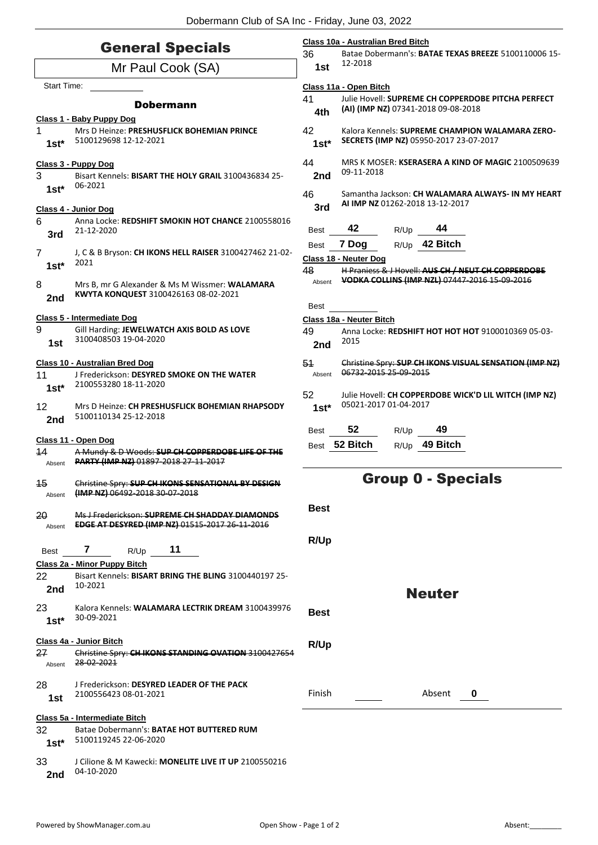| <b>General Specials</b>  |                                                                                                                                                                                           | Class 10a - Australian Bred Bitch<br>36<br>Batae Dobermann's: BATAE TEXAS BREEZE 5100110006 15- |                                                                                           |      |                                                        |  |
|--------------------------|-------------------------------------------------------------------------------------------------------------------------------------------------------------------------------------------|-------------------------------------------------------------------------------------------------|-------------------------------------------------------------------------------------------|------|--------------------------------------------------------|--|
| Mr Paul Cook (SA)        |                                                                                                                                                                                           | 1st                                                                                             | 12-2018                                                                                   |      |                                                        |  |
| <b>Start Time:</b>       |                                                                                                                                                                                           | Class 11a - Open Bitch<br>41<br>Julie Hovell: SUPREME CH COPPERDOBE PITCHA PERFECT              |                                                                                           |      |                                                        |  |
|                          | <b>Dobermann</b><br>Class 1 - Baby Puppy Dog                                                                                                                                              | 4th                                                                                             |                                                                                           |      | (AI) (IMP NZ) 07341-2018 09-08-2018                    |  |
| 1<br>$1st*$              | Mrs D Heinze: PRESHUSFLICK BOHEMIAN PRINCE<br>5100129698 12-12-2021                                                                                                                       | 42<br>$1st*$                                                                                    | Kalora Kennels: SUPREME CHAMPION WALAMARA ZERO-<br>SECRETS (IMP NZ) 05950-2017 23-07-2017 |      |                                                        |  |
| 3                        | 44<br>Class 3 - Puppy Dog<br>09-11-2018<br>2nd<br>Bisart Kennels: BISART THE HOLY GRAIL 3100436834 25-<br>06-2021<br>46<br>AI IMP NZ 01262-2018 13-12-2017<br>3rd<br>Class 4 - Junior Dog |                                                                                                 | MRS K MOSER: <b>KSERASERA A KIND OF MAGIC</b> 2100509639                                  |      |                                                        |  |
| $1st*$                   |                                                                                                                                                                                           |                                                                                                 | Samantha Jackson: CH WALAMARA ALWAYS- IN MY HEART                                         |      |                                                        |  |
| 6                        | Anna Locke: REDSHIFT SMOKIN HOT CHANCE 2100558016                                                                                                                                         |                                                                                                 | 42                                                                                        |      | 44                                                     |  |
| 3rd                      | 21-12-2020                                                                                                                                                                                | Best<br><b>Best</b>                                                                             | 7 Dog                                                                                     | R/Up | R/Up 42 Bitch                                          |  |
| $\overline{7}$<br>$1st*$ | J, C & B Bryson: CH IKONS HELL RAISER 3100427462 21-02-<br>2021                                                                                                                           | 48                                                                                              | Class 18 - Neuter Dog<br>H Praniess & J Hovell: AUS CH / NEUT CH COPPERDOBE               |      |                                                        |  |
| 8<br>2nd                 | Mrs B, mr G Alexander & Ms M Wissmer: WALAMARA<br>KWYTA KONQUEST 3100426163 08-02-2021                                                                                                    | Absent                                                                                          | VODKA COLLINS (IMP NZL) 07447 2016 15 09 2016                                             |      |                                                        |  |
|                          | Class 5 - Intermediate Dog                                                                                                                                                                | Best                                                                                            | Class 18a - Neuter Bitch                                                                  |      |                                                        |  |
| 9<br>1st                 | Gill Harding: JEWELWATCH AXIS BOLD AS LOVE<br>3100408503 19-04-2020                                                                                                                       | 49<br>2nd                                                                                       | 2015                                                                                      |      | Anna Locke: REDSHIFT HOT HOT HOT 9100010369 05-03-     |  |
|                          | Class 10 - Australian Bred Dog                                                                                                                                                            | 54                                                                                              |                                                                                           |      | Christine Spry: SUP CH IKONS VISUAL SENSATION (IMP NZ) |  |
| 11<br>$1st*$             | J Frederickson: DESYRED SMOKE ON THE WATER<br>2100553280 18-11-2020                                                                                                                       | Absent                                                                                          | 06732 2015 25 09 2015                                                                     |      |                                                        |  |
| 12<br>2nd                | Mrs D Heinze: CH PRESHUSFLICK BOHEMIAN RHAPSODY<br>5100110134 25-12-2018                                                                                                                  | 52<br>$1st*$                                                                                    | 05021-2017 01-04-2017                                                                     |      | Julie Hovell: CH COPPERDOBE WICK'D LIL WITCH (IMP NZ)  |  |
|                          |                                                                                                                                                                                           | <b>Best</b>                                                                                     | 52                                                                                        | R/Up | 49                                                     |  |
| 14<br>Absent             | Class 11 - Open Dog<br>A Mundy & D Woods: SUP CH COPPERDOBE LIFE OF THE<br>PARTY (IMP NZ) 01897-2018 27-11-2017                                                                           |                                                                                                 | Best 52 Bitch                                                                             |      | R/Up 49 Bitch                                          |  |
| 15<br>Absent             | Christine Spry: SUP CH IKONS SENSATIONAL BY DESIGN<br>(IMP NZ) 06492-2018 30-07-2018                                                                                                      |                                                                                                 | <b>Group 0 - Specials</b>                                                                 |      |                                                        |  |
| 20<br>Absent             | Ms J Frederickson: SUPREME CH SHADDAY DIAMONDS<br><b>EDGE AT DESYRED (IMP NZ) 01515-2017 26-11-2016</b>                                                                                   | <b>Best</b>                                                                                     |                                                                                           |      |                                                        |  |
| Best                     | 11<br>7<br>R/Up                                                                                                                                                                           | R/Up                                                                                            |                                                                                           |      |                                                        |  |
|                          | Class 2a - Minor Puppy Bitch                                                                                                                                                              |                                                                                                 |                                                                                           |      |                                                        |  |
| 22<br>2nd                | Bisart Kennels: BISART BRING THE BLING 3100440197 25-<br>10-2021                                                                                                                          |                                                                                                 |                                                                                           |      | <b>Neuter</b>                                          |  |
| 23<br>$1st*$             | Kalora Kennels: WALAMARA LECTRIK DREAM 3100439976<br>30-09-2021                                                                                                                           | <b>Best</b>                                                                                     |                                                                                           |      |                                                        |  |
| 27                       | Class 4a - Junior Bitch<br>Christine Spry: CH IKONS STANDING OVATION 3100427654                                                                                                           | R/Up                                                                                            |                                                                                           |      |                                                        |  |
| Absent                   | 28-02-2021                                                                                                                                                                                |                                                                                                 |                                                                                           |      |                                                        |  |
| 28<br>1st                | J Frederickson: <b>DESYRED LEADER OF THE PACK</b><br>2100556423 08-01-2021                                                                                                                | Finish                                                                                          |                                                                                           |      | Absent<br>0                                            |  |
|                          | Class 5a - Intermediate Bitch                                                                                                                                                             |                                                                                                 |                                                                                           |      |                                                        |  |
| 32<br>$1st*$             | Batae Dobermann's: BATAE HOT BUTTERED RUM<br>5100119245 22-06-2020                                                                                                                        |                                                                                                 |                                                                                           |      |                                                        |  |
| 33<br>2nd                | J Cilione & M Kawecki: MONELITE LIVE IT UP 2100550216<br>04-10-2020                                                                                                                       |                                                                                                 |                                                                                           |      |                                                        |  |